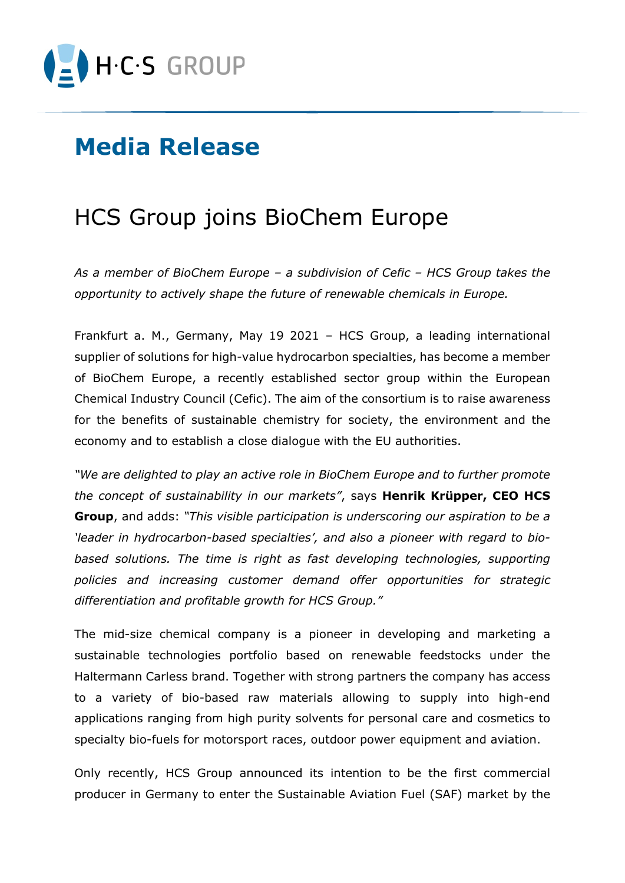

## **Media Release**

## HCS Group joins BioChem Europe

*As a member of BioChem Europe – a subdivision of Cefic – HCS Group takes the opportunity to actively shape the future of renewable chemicals in Europe.* 

Frankfurt a. M., Germany, May 19 2021 – HCS Group, a leading international supplier of solutions for high-value hydrocarbon specialties, has become a member of BioChem Europe, a recently established sector group within the European Chemical Industry Council (Cefic). The aim of the consortium is to raise awareness for the benefits of sustainable chemistry for society, the environment and the economy and to establish a close dialogue with the EU authorities.

*"We are delighted to play an active role in BioChem Europe and to further promote the concept of sustainability in our markets"*, says **Henrik Krüpper, CEO HCS Group**, and adds: *"This visible participation is underscoring our aspiration to be a 'leader in hydrocarbon-based specialties', and also a pioneer with regard to bio*based solutions. The time is right as fast developing technologies, supporting *policies and increasing customer demand offer opportunities for strategic differentiation and profitable growth for HCS Group."*

The mid-size chemical company is a pioneer in developing and marketing a sustainable technologies portfolio based on renewable feedstocks under the Haltermann Carless brand. Together with strong partners the company has access to a variety of bio-based raw materials allowing to supply into high-end applications ranging from high purity solvents for personal care and cosmetics to specialty bio-fuels for motorsport races, outdoor power equipment and aviation.

Only recently, HCS Group announced its intention to be the first commercial producer in Germany to enter the Sustainable Aviation Fuel (SAF) market by the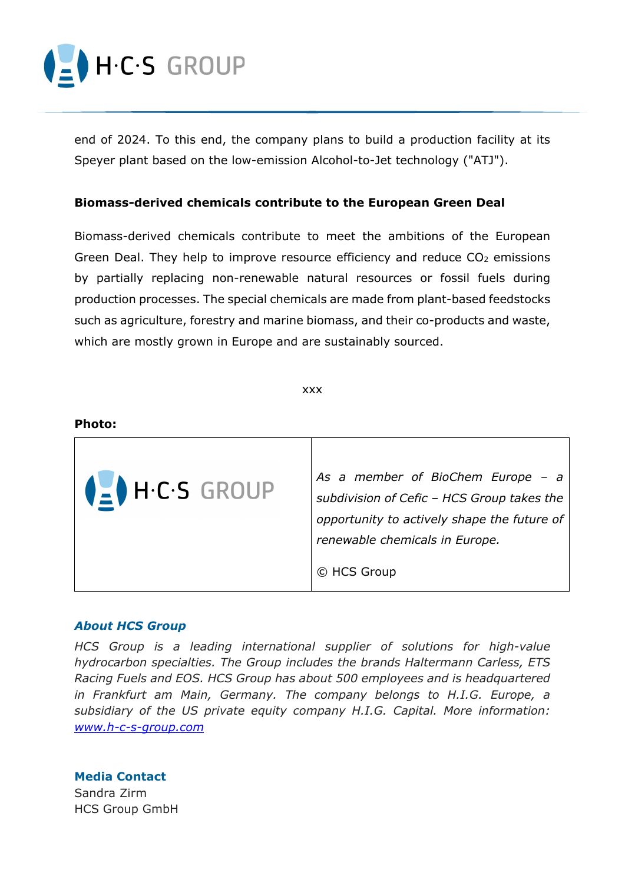

end of 2024. To this end, the company plans to build a production facility at its Speyer plant based on the low-emission Alcohol-to-Jet technology ("ATJ").

## **Biomass-derived chemicals contribute to the European Green Deal**

Biomass-derived chemicals contribute to meet the ambitions of the European Green Deal. They help to improve resource efficiency and reduce  $CO<sub>2</sub>$  emissions by partially replacing non-renewable natural resources or fossil fuels during production processes. The special chemicals are made from plant-based feedstocks such as agriculture, forestry and marine biomass, and their co-products and waste, which are mostly grown in Europe and are sustainably sourced.

xxx



## *About HCS Group*

*HCS Group is a leading international supplier of solutions for high-value hydrocarbon specialties. The Group includes the brands Haltermann Carless, ETS Racing Fuels and EOS. HCS Group has about 500 employees and is headquartered in Frankfurt am Main, Germany. The company belongs to H.I.G. Europe, a subsidiary of the US private equity company H.I.G. Capital. More information: [www.h-c-s-group.com](http://www.h-c-s-group.com/)*

**Media Contact** Sandra Zirm

HCS Group GmbH